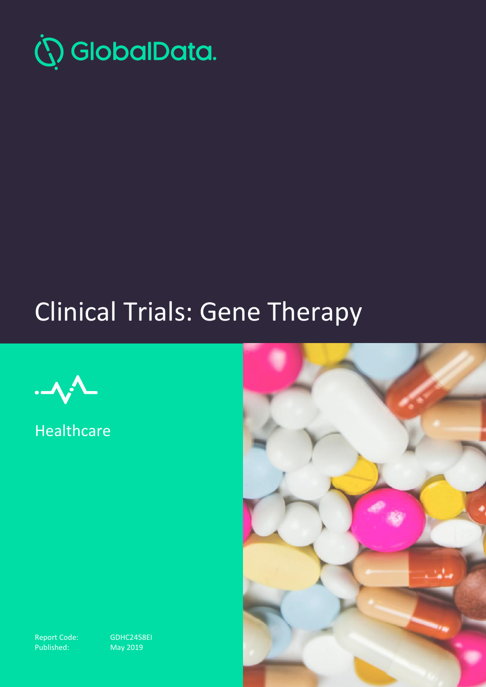

# Clinical Trials: Gene Therapy



**Healthcare** 



Report Code: GDHC2458EI<br>Published: May 2019

 $Nay 2019$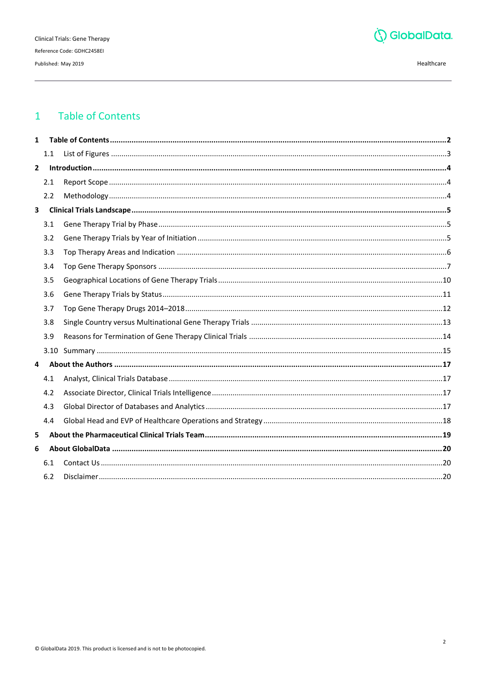

#### <span id="page-1-0"></span>**Table of Contents**  $\mathbf{1}$

| $\mathbf{1}$   |     |  |  |  |
|----------------|-----|--|--|--|
|                | 1.1 |  |  |  |
| $\overline{2}$ |     |  |  |  |
|                | 2.1 |  |  |  |
|                | 2.2 |  |  |  |
| $\mathbf{3}$   |     |  |  |  |
|                | 3.1 |  |  |  |
|                | 3.2 |  |  |  |
|                | 3.3 |  |  |  |
|                | 3.4 |  |  |  |
|                | 3.5 |  |  |  |
|                | 3.6 |  |  |  |
|                | 3.7 |  |  |  |
|                | 3.8 |  |  |  |
|                | 3.9 |  |  |  |
|                |     |  |  |  |
| 4              |     |  |  |  |
|                | 4.1 |  |  |  |
|                | 4.2 |  |  |  |
|                | 4.3 |  |  |  |
|                | 4.4 |  |  |  |
| 5              |     |  |  |  |
| 6              |     |  |  |  |
|                | 6.1 |  |  |  |
|                | 6.2 |  |  |  |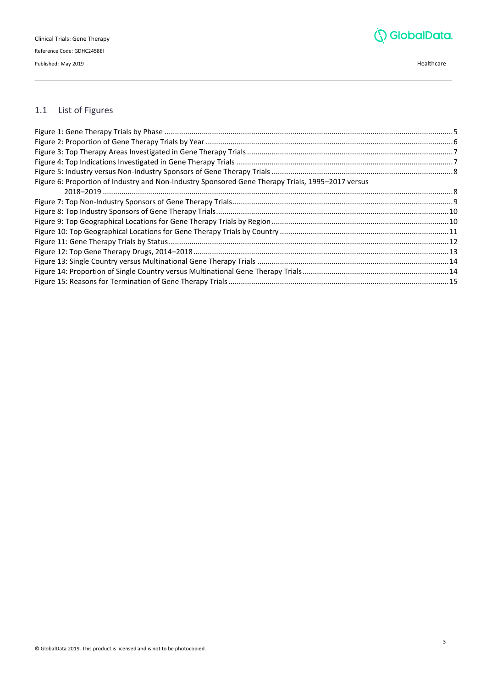

# <span id="page-2-0"></span>1.1 List of Figures

| Figure 6: Proportion of Industry and Non-Industry Sponsored Gene Therapy Trials, 1995-2017 versus |  |  |  |  |
|---------------------------------------------------------------------------------------------------|--|--|--|--|
|                                                                                                   |  |  |  |  |
|                                                                                                   |  |  |  |  |
|                                                                                                   |  |  |  |  |
|                                                                                                   |  |  |  |  |
|                                                                                                   |  |  |  |  |
|                                                                                                   |  |  |  |  |
|                                                                                                   |  |  |  |  |
|                                                                                                   |  |  |  |  |
|                                                                                                   |  |  |  |  |
|                                                                                                   |  |  |  |  |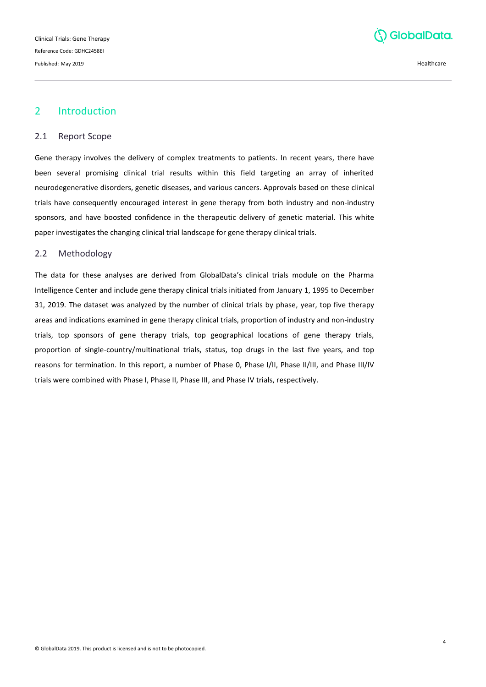

# <span id="page-3-0"></span>2 Introduction

#### <span id="page-3-1"></span>2.1 Report Scope

Gene therapy involves the delivery of complex treatments to patients. In recent years, there have been several promising clinical trial results within this field targeting an array of inherited neurodegenerative disorders, genetic diseases, and various cancers. Approvals based on these clinical trials have consequently encouraged interest in gene therapy from both industry and non-industry sponsors, and have boosted confidence in the therapeutic delivery of genetic material. This white paper investigates the changing clinical trial landscape for gene therapy clinical trials.

#### <span id="page-3-2"></span>2.2 Methodology

The data for these analyses are derived from GlobalData's clinical trials module on the Pharma Intelligence Center and include gene therapy clinical trials initiated from January 1, 1995 to December 31, 2019. The dataset was analyzed by the number of clinical trials by phase, year, top five therapy areas and indications examined in gene therapy clinical trials, proportion of industry and non-industry trials, top sponsors of gene therapy trials, top geographical locations of gene therapy trials, proportion of single-country/multinational trials, status, top drugs in the last five years, and top reasons for termination. In this report, a number of Phase 0, Phase I/II, Phase II/III, and Phase III/IV trials were combined with Phase I, Phase II, Phase III, and Phase IV trials, respectively.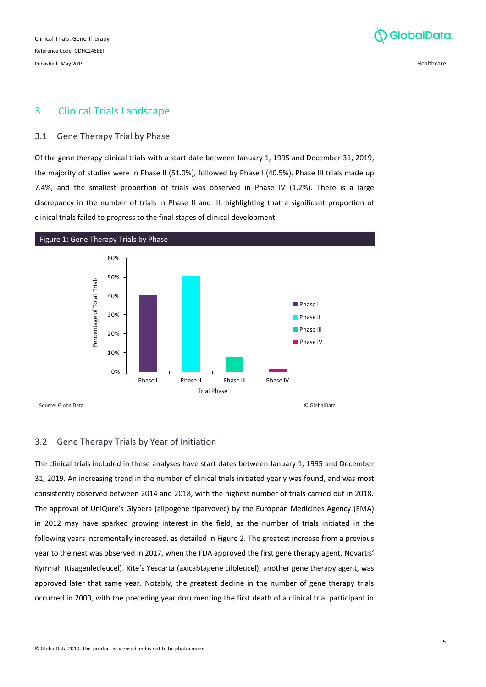Clinical Trials: Gene Therapy Reference Code: GDHC2458EI Published: May 2019 Healthcare

# GlobalData.

# <span id="page-4-0"></span>3 Clinical Trials Landscape

#### <span id="page-4-1"></span>3.1 Gene Therapy Trial by Phase

Of the gene therapy clinical trials with a start date between January 1, 1995 and December 31, 2019, the majority of studies were in Phase II (51.0%), followed by Phase I (40.5%). Phase III trials made up 7.4%, and the smallest proportion of trials was observed in Phase IV (1.2%). There is a large discrepancy in the number of trials in Phase II and III, highlighting that a significant proportion of clinical trials failed to progress to the final stages of clinical development.

<span id="page-4-3"></span>

# <span id="page-4-2"></span>3.2 Gene Therapy Trials by Year of Initiation

The clinical trials included in these analyses have start dates between January 1, 1995 and December 31, 2019. An increasing trend in the number of clinical trials initiated yearly was found, and was most consistently observed between 2014 and 2018, with the highest number of trials carried out in 2018. The approval of UniQure's Glybera (alipogene tiparvovec) by the European Medicines Agency (EMA) in 2012 may have sparked growing interest in the field, as the number of trials initiated in the following years incrementally increased, as detailed in Figure 2. The greatest increase from a previous year to the next was observed in 2017, when the FDA approved the first gene therapy agent, Novartis' Kymriah (tisagenlecleucel). Kite's Yescarta (axicabtagene ciloleucel), another gene therapy agent, was approved later that same year. Notably, the greatest decline in the number of gene therapy trials occurred in 2000, with the preceding year documenting the first death of a clinical trial participant in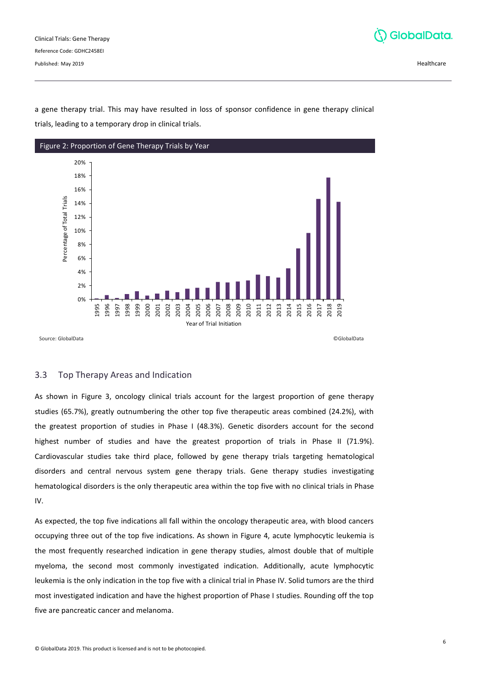

a gene therapy trial. This may have resulted in loss of sponsor confidence in gene therapy clinical trials, leading to a temporary drop in clinical trials.

<span id="page-5-1"></span>

## <span id="page-5-0"></span>3.3 Top Therapy Areas and Indication

As shown in Figure 3, oncology clinical trials account for the largest proportion of gene therapy studies (65.7%), greatly outnumbering the other top five therapeutic areas combined (24.2%), with the greatest proportion of studies in Phase I (48.3%). Genetic disorders account for the second highest number of studies and have the greatest proportion of trials in Phase II (71.9%). Cardiovascular studies take third place, followed by gene therapy trials targeting hematological disorders and central nervous system gene therapy trials. Gene therapy studies investigating hematological disorders is the only therapeutic area within the top five with no clinical trials in Phase IV.

As expected, the top five indications all fall within the oncology therapeutic area, with blood cancers occupying three out of the top five indications. As shown in Figure 4, acute lymphocytic leukemia is the most frequently researched indication in gene therapy studies, almost double that of multiple myeloma, the second most commonly investigated indication. Additionally, acute lymphocytic leukemia is the only indication in the top five with a clinical trial in Phase IV. Solid tumors are the third most investigated indication and have the highest proportion of Phase I studies. Rounding off the top five are pancreatic cancer and melanoma.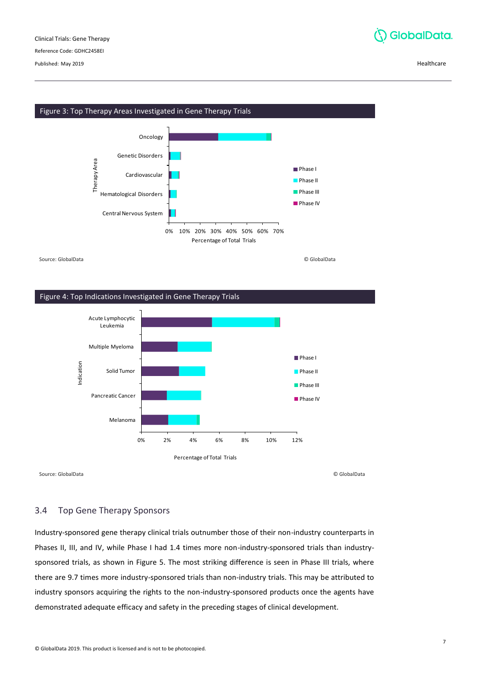Reference Code: GDHC2458EI

Published: May 2019 Healthcare



# <span id="page-6-1"></span>Figure 3: Top Therapy Areas Investigated in Gene Therapy Trials 0 % 10% 20% 30% 40% 50% 60% 70% Central Nervous System Hematological Disorders Cardiovascular Genetic Disorders Oncology Percentage of Total Trials Therapy Area Phase I **Phase II Phase III Phase IV**

Source: GlobalData © GlobalData

#### <span id="page-6-2"></span>Figure 4: Top Indications Investigated in Gene Therapy Trials



Source: GlobalData © GlobalData

# <span id="page-6-0"></span>3.4 Top Gene Therapy Sponsors

Industry-sponsored gene therapy clinical trials outnumber those of their non-industry counterparts in Phases II, III, and IV, while Phase I had 1.4 times more non-industry-sponsored trials than industrysponsored trials, as shown in Figure 5. The most striking difference is seen in Phase III trials, where there are 9.7 times more industry-sponsored trials than non-industry trials. This may be attributed to industry sponsors acquiring the rights to the non-industry-sponsored products once the agents have demonstrated adequate efficacy and safety in the preceding stages of clinical development.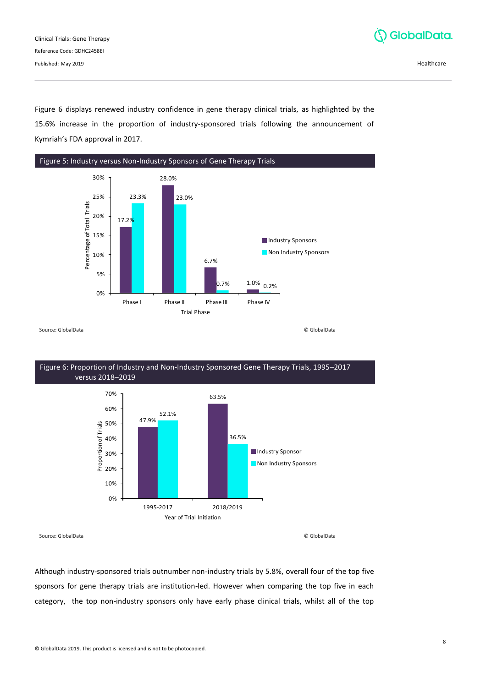

Figure 6 displays renewed industry confidence in gene therapy clinical trials, as highlighted by the 15.6% increase in the proportion of industry-sponsored trials following the announcement of Kymriah's FDA approval in 2017.

<span id="page-7-0"></span>

<span id="page-7-1"></span>Figure 6: Proportion of Industry and Non-Industry Sponsored Gene Therapy Trials, 1995–2017 versus 2018–2019 47.9% 63.5% 52.1% 36.5% 0 % 10% 20% 30% 40% 50% 60% 70% 1995-2017 2018/2019 Proportion of Trials Year of Trial Initiation **Industry Sponsor** Non Industry Sponsors

Source: GlobalData © GlobalData

Although industry-sponsored trials outnumber non-industry trials by 5.8%, overall four of the top five sponsors for gene therapy trials are institution-led. However when comparing the top five in each category, the top non-industry sponsors only have early phase clinical trials, whilst all of the top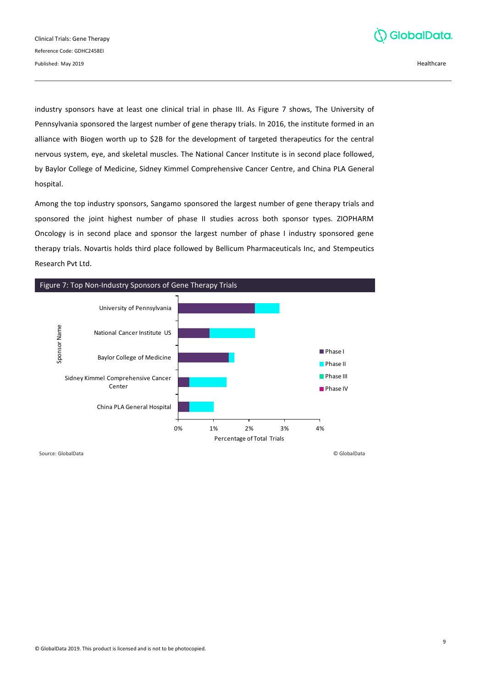

industry sponsors have at least one clinical trial in phase III. As Figure 7 shows, The University of Pennsylvania sponsored the largest number of gene therapy trials. In 2016, the institute formed in an alliance with Biogen worth up to \$2B for the development of targeted therapeutics for the central nervous system, eye, and skeletal muscles. The National Cancer Institute is in second place followed, by Baylor College of Medicine, Sidney Kimmel Comprehensive Cancer Centre, and China PLA General hospital.

Among the top industry sponsors, Sangamo sponsored the largest number of gene therapy trials and sponsored the joint highest number of phase II studies across both sponsor types. ZIOPHARM Oncology is in second place and sponsor the largest number of phase I industry sponsored gene therapy trials. Novartis holds third place followed by Bellicum Pharmaceuticals Inc, and Stempeutics Research Pvt Ltd.

<span id="page-8-0"></span>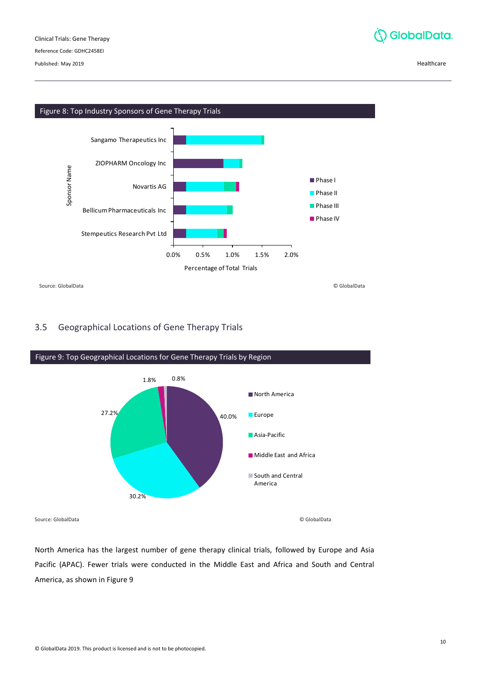Published: May 2019 Healthcare



<span id="page-9-1"></span>

# <span id="page-9-0"></span>3.5 Geographical Locations of Gene Therapy Trials

<span id="page-9-2"></span>

North America has the largest number of gene therapy clinical trials, followed by Europe and Asia Pacific (APAC). Fewer trials were conducted in the Middle East and Africa and South and Central America, as shown in Figure 9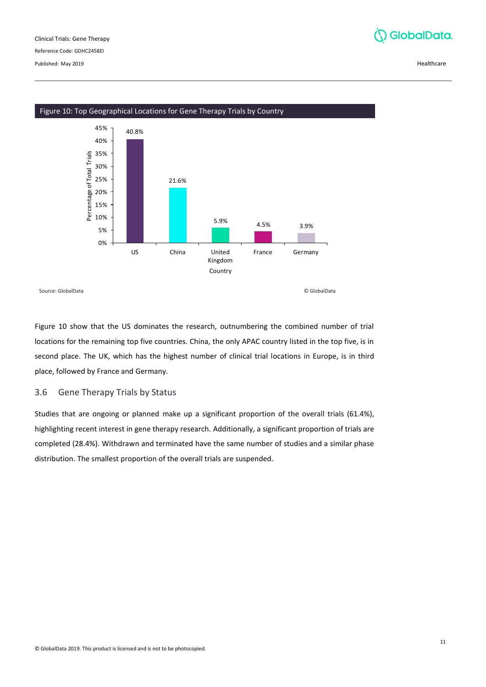



<span id="page-10-1"></span>Figure 10: Top Geographical Locations for Gene Therapy Trials by Country

Figure 10 show that the US dominates the research, outnumbering the combined number of trial locations for the remaining top five countries. China, the only APAC country listed in the top five, is in second place. The UK, which has the highest number of clinical trial locations in Europe, is in third place, followed by France and Germany.

# <span id="page-10-0"></span>3.6 Gene Therapy Trials by Status

Studies that are ongoing or planned make up a significant proportion of the overall trials (61.4%), highlighting recent interest in gene therapy research. Additionally, a significant proportion of trials are completed (28.4%). Withdrawn and terminated have the same number of studies and a similar phase distribution. The smallest proportion of the overall trials are suspended.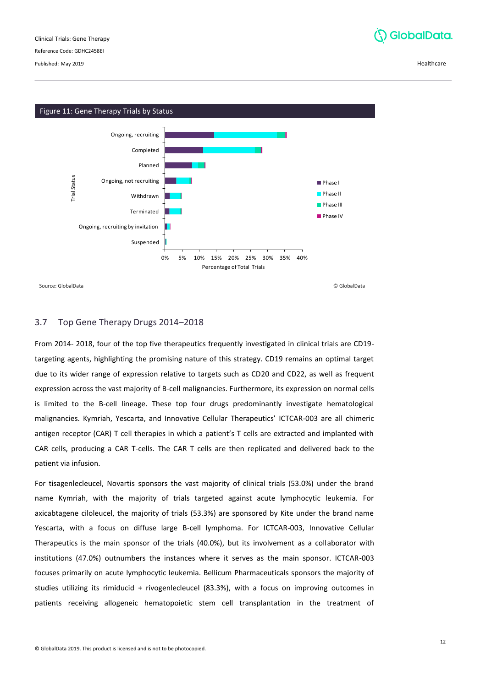Reference Code: GDHC2458EI

Published: May 2019 Healthcare

<span id="page-11-1"></span>

# <span id="page-11-0"></span>3.7 Top Gene Therapy Drugs 2014–2018

From 2014- 2018, four of the top five therapeutics frequently investigated in clinical trials are CD19 targeting agents, highlighting the promising nature of this strategy. CD19 remains an optimal target due to its wider range of expression relative to targets such as CD20 and CD22, as well as frequent expression across the vast majority of B-cell malignancies. Furthermore, its expression on normal cells is limited to the B-cell lineage. These top four drugs predominantly investigate hematological malignancies. Kymriah, Yescarta, and Innovative Cellular Therapeutics' ICTCAR-003 are all chimeric antigen receptor (CAR) T cell therapies in which a patient's T cells are extracted and implanted with CAR cells, producing a CAR T-cells. The CAR T cells are then replicated and delivered back to the patient via infusion.

For tisagenlecleucel, Novartis sponsors the vast majority of clinical trials (53.0%) under the brand name Kymriah, with the majority of trials targeted against acute lymphocytic leukemia. For axicabtagene ciloleucel, the majority of trials (53.3%) are sponsored by Kite under the brand name Yescarta, with a focus on diffuse large B-cell lymphoma. For ICTCAR-003, Innovative Cellular Therapeutics is the main sponsor of the trials (40.0%), but its involvement as a collaborator with institutions (47.0%) outnumbers the instances where it serves as the main sponsor. ICTCAR-003 focuses primarily on acute lymphocytic leukemia. Bellicum Pharmaceuticals sponsors the majority of studies utilizing its rimiducid + rivogenlecleucel (83.3%), with a focus on improving outcomes in patients receiving allogeneic hematopoietic stem cell transplantation in the treatment of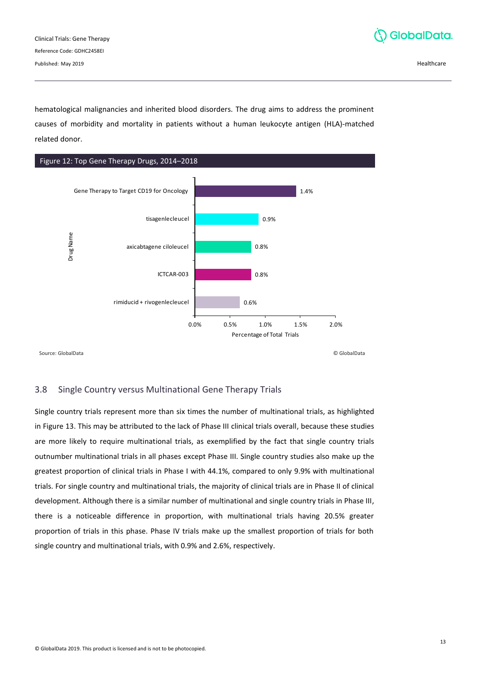Clinical Trials: Gene Therapy Reference Code: GDHC2458EI Published: May 2019 Healthcare



hematological malignancies and inherited blood disorders. The drug aims to address the prominent causes of morbidity and mortality in patients without a human leukocyte antigen (HLA)-matched related donor.

<span id="page-12-1"></span>

Source: GlobalData © GlobalData

# <span id="page-12-0"></span>3.8 Single Country versus Multinational Gene Therapy Trials

Single country trials represent more than six times the number of multinational trials, as highlighted in Figure 13. This may be attributed to the lack of Phase III clinical trials overall, because these studies are more likely to require multinational trials, as exemplified by the fact that single country trials outnumber multinational trials in all phases except Phase III. Single country studies also make up the greatest proportion of clinical trials in Phase I with 44.1%, compared to only 9.9% with multinational trials. For single country and multinational trials, the majority of clinical trials are in Phase II of clinical development. Although there is a similar number of multinational and single country trials in Phase III, there is a noticeable difference in proportion, with multinational trials having 20.5% greater proportion of trials in this phase. Phase IV trials make up the smallest proportion of trials for both single country and multinational trials, with 0.9% and 2.6%, respectively.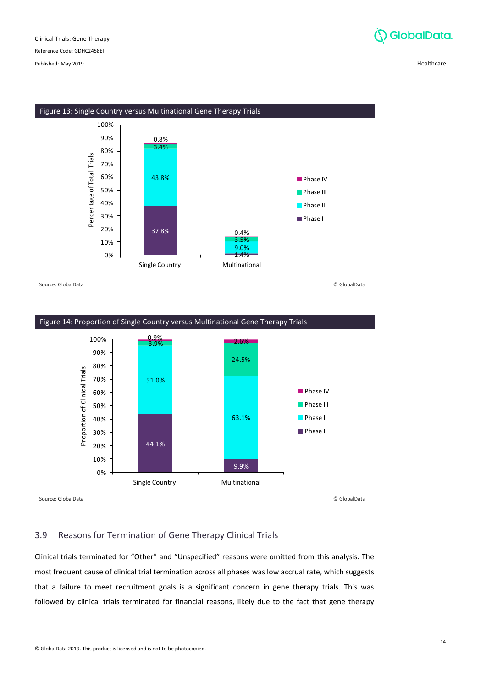Reference Code: GDHC2458EI

Published: May 2019 Healthcare



<span id="page-13-1"></span>

Source: GlobalData © GlobalData

<span id="page-13-2"></span>

# <span id="page-13-0"></span>3.9 Reasons for Termination of Gene Therapy Clinical Trials

Clinical trials terminated for "Other" and "Unspecified" reasons were omitted from this analysis. The most frequent cause of clinical trial termination across all phases was low accrual rate, which suggests that a failure to meet recruitment goals is a significant concern in gene therapy trials. This was followed by clinical trials terminated for financial reasons, likely due to the fact that gene therapy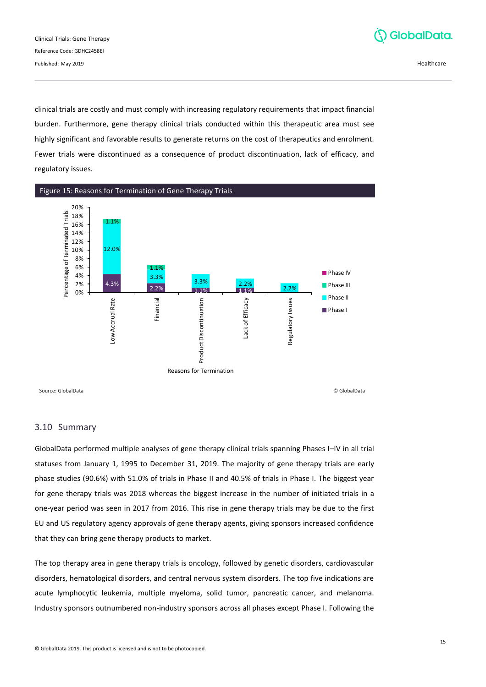

clinical trials are costly and must comply with increasing regulatory requirements that impact financial burden. Furthermore, gene therapy clinical trials conducted within this therapeutic area must see highly significant and favorable results to generate returns on the cost of therapeutics and enrolment. Fewer trials were discontinued as a consequence of product discontinuation, lack of efficacy, and regulatory issues.

<span id="page-14-1"></span>

# <span id="page-14-0"></span>3.10 Summary

GlobalData performed multiple analyses of gene therapy clinical trials spanning Phases I–IV in all trial statuses from January 1, 1995 to December 31, 2019. The majority of gene therapy trials are early phase studies (90.6%) with 51.0% of trials in Phase II and 40.5% of trials in Phase I. The biggest year for gene therapy trials was 2018 whereas the biggest increase in the number of initiated trials in a one-year period was seen in 2017 from 2016. This rise in gene therapy trials may be due to the first EU and US regulatory agency approvals of gene therapy agents, giving sponsors increased confidence that they can bring gene therapy products to market.

The top therapy area in gene therapy trials is oncology, followed by genetic disorders, cardiovascular disorders, hematological disorders, and central nervous system disorders. The top five indications are acute lymphocytic leukemia, multiple myeloma, solid tumor, pancreatic cancer, and melanoma. Industry sponsors outnumbered non-industry sponsors across all phases except Phase I. Following the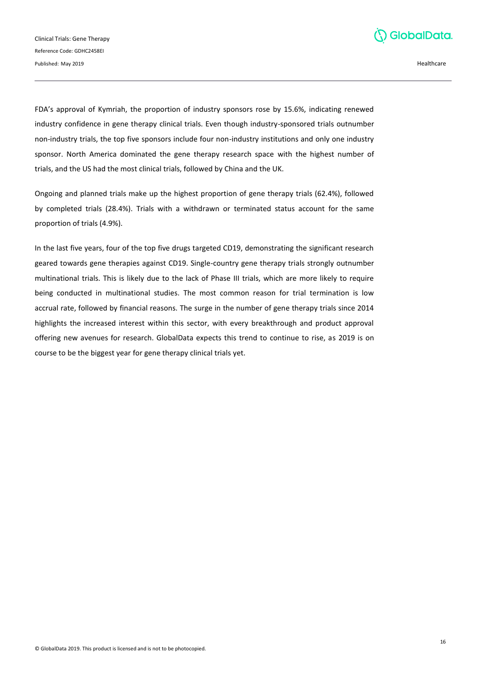

FDA's approval of Kymriah, the proportion of industry sponsors rose by 15.6%, indicating renewed industry confidence in gene therapy clinical trials. Even though industry-sponsored trials outnumber non-industry trials, the top five sponsors include four non-industry institutions and only one industry sponsor. North America dominated the gene therapy research space with the highest number of trials, and the US had the most clinical trials, followed by China and the UK.

Ongoing and planned trials make up the highest proportion of gene therapy trials (62.4%), followed by completed trials (28.4%). Trials with a withdrawn or terminated status account for the same proportion of trials (4.9%).

In the last five years, four of the top five drugs targeted CD19, demonstrating the significant research geared towards gene therapies against CD19. Single-country gene therapy trials strongly outnumber multinational trials. This is likely due to the lack of Phase III trials, which are more likely to require being conducted in multinational studies. The most common reason for trial termination is low accrual rate, followed by financial reasons. The surge in the number of gene therapy trials since 2014 highlights the increased interest within this sector, with every breakthrough and product approval offering new avenues for research. GlobalData expects this trend to continue to rise, as 2019 is on course to be the biggest year for gene therapy clinical trials yet.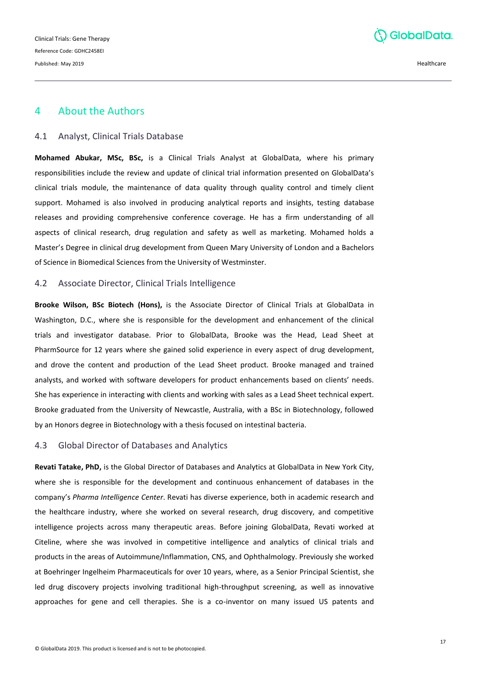

# <span id="page-16-0"></span>4 About the Authors

#### <span id="page-16-1"></span>4.1 Analyst, Clinical Trials Database

**Mohamed Abukar, MSc, BSc,** is a Clinical Trials Analyst at GlobalData, where his primary responsibilities include the review and update of clinical trial information presented on GlobalData's clinical trials module, the maintenance of data quality through quality control and timely client support. Mohamed is also involved in producing analytical reports and insights, testing database releases and providing comprehensive conference coverage. He has a firm understanding of all aspects of clinical research, drug regulation and safety as well as marketing. Mohamed holds a Master's Degree in clinical drug development from Queen Mary University of London and a Bachelors of Science in Biomedical Sciences from the University of Westminster.

#### <span id="page-16-2"></span>4.2 Associate Director, Clinical Trials Intelligence

**Brooke Wilson, BSc Biotech (Hons),** is the Associate Director of Clinical Trials at GlobalData in Washington, D.C., where she is responsible for the development and enhancement of the clinical trials and investigator database. Prior to GlobalData, Brooke was the Head, Lead Sheet at PharmSource for 12 years where she gained solid experience in every aspect of drug development, and drove the content and production of the Lead Sheet product. Brooke managed and trained analysts, and worked with software developers for product enhancements based on clients' needs. She has experience in interacting with clients and working with sales as a Lead Sheet technical expert. Brooke graduated from the University of Newcastle, Australia, with a BSc in Biotechnology, followed by an Honors degree in Biotechnology with a thesis focused on intestinal bacteria.

## <span id="page-16-3"></span>4.3 Global Director of Databases and Analytics

**Revati Tatake, PhD,** is the Global Director of Databases and Analytics at GlobalData in New York City, where she is responsible for the development and continuous enhancement of databases in the company's *Pharma Intelligence Center*. Revati has diverse experience, both in academic research and the healthcare industry, where she worked on several research, drug discovery, and competitive intelligence projects across many therapeutic areas. Before joining GlobalData, Revati worked at Citeline, where she was involved in competitive intelligence and analytics of clinical trials and products in the areas of Autoimmune/Inflammation, CNS, and Ophthalmology. Previously she worked at Boehringer Ingelheim Pharmaceuticals for over 10 years, where, as a Senior Principal Scientist, she led drug discovery projects involving traditional high-throughput screening, as well as innovative approaches for gene and cell therapies. She is a co-inventor on many issued US patents and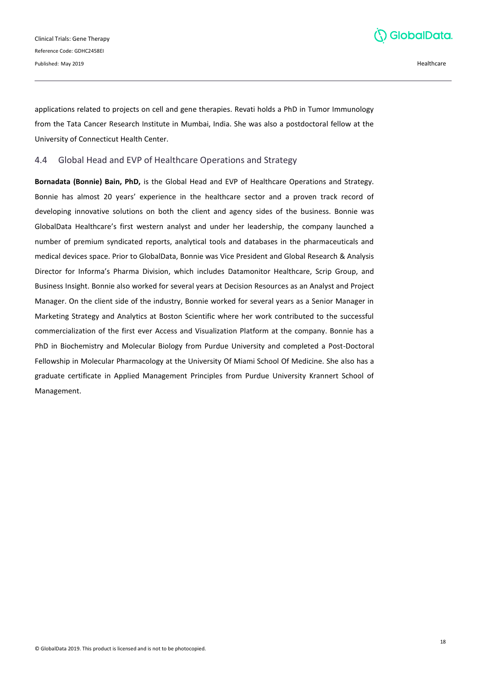

applications related to projects on cell and gene therapies. Revati holds a PhD in Tumor Immunology from the Tata Cancer Research Institute in Mumbai, India. She was also a postdoctoral fellow at the University of Connecticut Health Center.

## <span id="page-17-0"></span>4.4 Global Head and EVP of Healthcare Operations and Strategy

**Bornadata (Bonnie) Bain, PhD,** is the Global Head and EVP of Healthcare Operations and Strategy. Bonnie has almost 20 years' experience in the healthcare sector and a proven track record of developing innovative solutions on both the client and agency sides of the business. Bonnie was GlobalData Healthcare's first western analyst and under her leadership, the company launched a number of premium syndicated reports, analytical tools and databases in the pharmaceuticals and medical devices space. Prior to GlobalData, Bonnie was Vice President and Global Research & Analysis Director for Informa's Pharma Division, which includes Datamonitor Healthcare, Scrip Group, and Business Insight. Bonnie also worked for several years at Decision Resources as an Analyst and Project Manager. On the client side of the industry, Bonnie worked for several years as a Senior Manager in Marketing Strategy and Analytics at Boston Scientific where her work contributed to the successful commercialization of the first ever Access and Visualization Platform at the company. Bonnie has a PhD in Biochemistry and Molecular Biology from Purdue University and completed a Post-Doctoral Fellowship in Molecular Pharmacology at the University Of Miami School Of Medicine. She also has a graduate certificate in Applied Management Principles from Purdue University Krannert School of Management.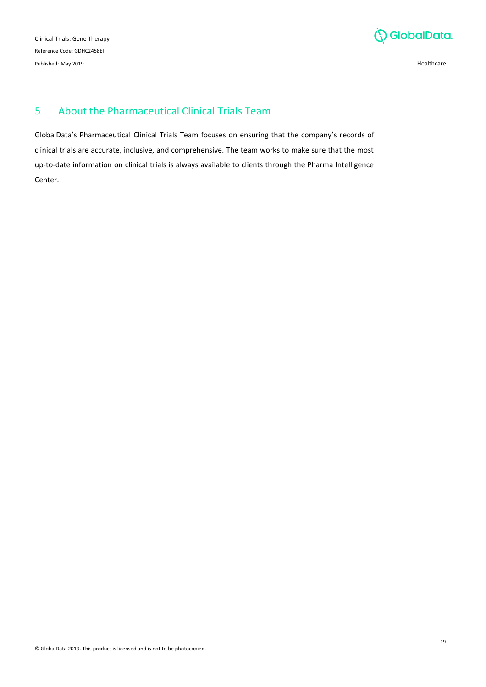

# <span id="page-18-0"></span>5 About the Pharmaceutical Clinical Trials Team

GlobalData's Pharmaceutical Clinical Trials Team focuses on ensuring that the company's records of clinical trials are accurate, inclusive, and comprehensive. The team works to make sure that the most up-to-date information on clinical trials is always available to clients through the Pharma Intelligence Center.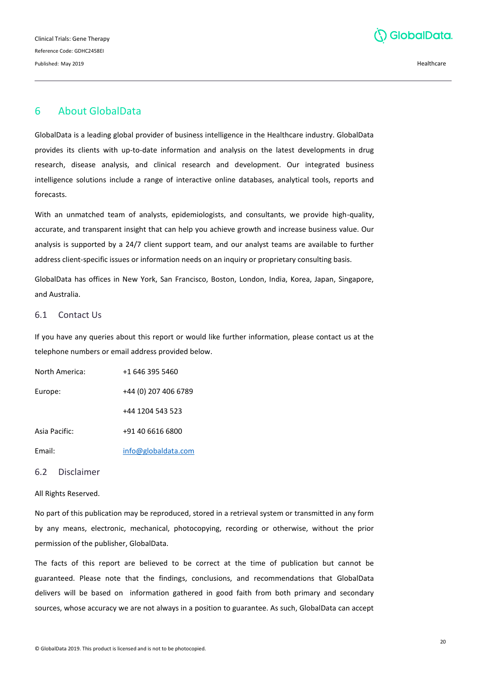

# <span id="page-19-0"></span>6 About GlobalData

GlobalData is a leading global provider of business intelligence in the Healthcare industry. GlobalData provides its clients with up-to-date information and analysis on the latest developments in drug research, disease analysis, and clinical research and development. Our integrated business intelligence solutions include a range of interactive online databases, analytical tools, reports and forecasts.

With an unmatched team of analysts, epidemiologists, and consultants, we provide high-quality, accurate, and transparent insight that can help you achieve growth and increase business value. Our analysis is supported by a 24/7 client support team, and our analyst teams are available to further address client-specific issues or information needs on an inquiry or proprietary consulting basis.

GlobalData has offices in New York, San Francisco, Boston, London, India, Korea, Japan, Singapore, and Australia.

#### <span id="page-19-1"></span>6.1 Contact Us

If you have any queries about this report or would like further information, please contact us at the telephone numbers or email address provided below.

| North America: | +1 646 395 5460      |
|----------------|----------------------|
| Europe:        | +44 (0) 207 406 6789 |
|                | +44 1204 543 523     |
| Asia Pacific:  | +91 40 6616 6800     |
| Email:         | info@globaldata.com  |

# <span id="page-19-2"></span>6.2 Disclaimer

#### All Rights Reserved.

No part of this publication may be reproduced, stored in a retrieval system or transmitted in any form by any means, electronic, mechanical, photocopying, recording or otherwise, without the prior permission of the publisher, GlobalData.

The facts of this report are believed to be correct at the time of publication but cannot be guaranteed. Please note that the findings, conclusions, and recommendations that GlobalData delivers will be based on information gathered in good faith from both primary and secondary sources, whose accuracy we are not always in a position to guarantee. As such, GlobalData can accept